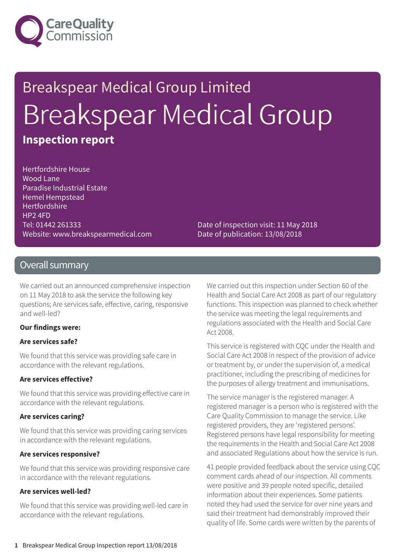

## Breakspear Medical Group Limited Breakspear Medical Group **Inspection report**

Hertfordshire House Wood Lane Paradise Industrial Estate Hemel Hempstead Hertfordshire HP2 4FD Tel: 01442 261333 Website: www.breakspearmedical.com

Date of inspection visit: 11 May 2018 Date of publication: 13/08/2018

### Overall summary

We carried out an announced comprehensive inspection on 11 May 2018 to ask the service the following key questions; Are services safe, effective, caring, responsive and well-led?

#### **Our findings were:**

#### **Are services safe?**

We found that this service was providing safe care in accordance with the relevant regulations.

#### **Are services effective?**

We found that this service was providing effective care in accordance with the relevant regulations.

#### **Are services caring?**

We found that this service was providing caring services in accordance with the relevant regulations.

#### **Are services responsive?**

We found that this service was providing responsive care in accordance with the relevant regulations.

#### **Are services well-led?**

We found that this service was providing well-led care in accordance with the relevant regulations.

We carried out this inspection under Section 60 of the Health and Social Care Act 2008 as part of our regulatory functions. This inspection was planned to check whether the service was meeting the legal requirements and regulations associated with the Health and Social Care Act 2008.

This service is registered with CQC under the Health and Social Care Act 2008 in respect of the provision of advice or treatment by, or under the supervision of, a medical practitioner, including the prescribing of medicines for the purposes of allergy treatment and immunisations.

The service manager is the registered manager. A registered manager is a person who is registered with the Care Quality Commission to manage the service. Like registered providers, they are 'registered persons'. Registered persons have legal responsibility for meeting the requirements in the Health and Social Care Act 2008 and associated Regulations about how the service is run.

41 people provided feedback about the service using CQC comment cards ahead of our inspection. All comments were positive and 39 people noted specific, detailed information about their experiences. Some patients noted they had used the service for over nine years and said their treatment had demonstrably improved their quality of life. Some cards were written by the parents of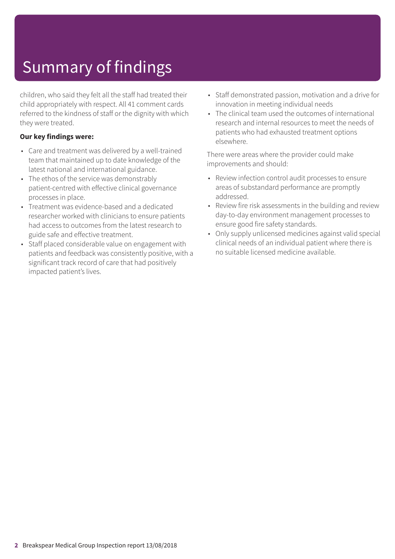## Summary of findings

children, who said they felt all the staff had treated their child appropriately with respect. All 41 comment cards referred to the kindness of staff or the dignity with which they were treated.

### **Our key findings were:**

- Care and treatment was delivered by a well-trained team that maintained up to date knowledge of the latest national and international guidance.
- The ethos of the service was demonstrably patient-centred with effective clinical governance processes in place.
- Treatment was evidence-based and a dedicated researcher worked with clinicians to ensure patients had access to outcomes from the latest research to guide safe and effective treatment.
- Staff placed considerable value on engagement with patients and feedback was consistently positive, with a significant track record of care that had positively impacted patient's lives.
- Staff demonstrated passion, motivation and a drive for innovation in meeting individual needs
- The clinical team used the outcomes of international research and internal resources to meet the needs of patients who had exhausted treatment options elsewhere.

There were areas where the provider could make improvements and should:

- Review infection control audit processes to ensure areas of substandard performance are promptly addressed.
- Review fire risk assessments in the building and review day-to-day environment management processes to ensure good fire safety standards.
- Only supply unlicensed medicines against valid special clinical needs of an individual patient where there is no suitable licensed medicine available.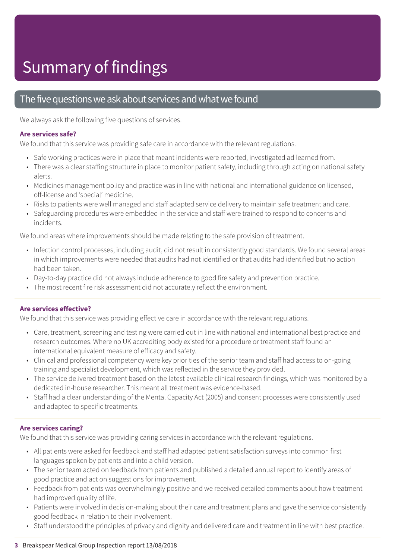## Summary of findings

### The five questions we ask about services and what we found

We always ask the following five questions of services.

#### **Are services safe?**

We found that this service was providing safe care in accordance with the relevant regulations.

- Safe working practices were in place that meant incidents were reported, investigated ad learned from.
- There was a clear staffing structure in place to monitor patient safety, including through acting on national safety alerts.
- Medicines management policy and practice was in line with national and international guidance on licensed, off-license and 'special' medicine.
- Risks to patients were well managed and staff adapted service delivery to maintain safe treatment and care.
- Safeguarding procedures were embedded in the service and staff were trained to respond to concerns and incidents.

We found areas where improvements should be made relating to the safe provision of treatment.

- Infection control processes, including audit, did not result in consistently good standards. We found several areas in which improvements were needed that audits had not identified or that audits had identified but no action had been taken.
- Day-to-day practice did not always include adherence to good fire safety and prevention practice.
- The most recent fire risk assessment did not accurately reflect the environment.

### **Are services effective?**

We found that this service was providing effective care in accordance with the relevant regulations.

- Care, treatment, screening and testing were carried out in line with national and international best practice and research outcomes. Where no UK accrediting body existed for a procedure or treatment staff found an international equivalent measure of efficacy and safety.
- Clinical and professional competency were key priorities of the senior team and staff had access to on-going training and specialist development, which was reflected in the service they provided.
- The service delivered treatment based on the latest available clinical research findings, which was monitored by a dedicated in-house researcher. This meant all treatment was evidence-based.
- Staff had a clear understanding of the Mental Capacity Act (2005) and consent processes were consistently used and adapted to specific treatments.

### **Are services caring?**

We found that this service was providing caring services in accordance with the relevant regulations.

- All patients were asked for feedback and staff had adapted patient satisfaction surveys into common first languages spoken by patients and into a child version.
- The senior team acted on feedback from patients and published a detailed annual report to identify areas of good practice and act on suggestions for improvement.
- Feedback from patients was overwhelmingly positive and we received detailed comments about how treatment had improved quality of life.
- Patients were involved in decision-making about their care and treatment plans and gave the service consistently good feedback in relation to their involvement.
- Staff understood the principles of privacy and dignity and delivered care and treatment in line with best practice.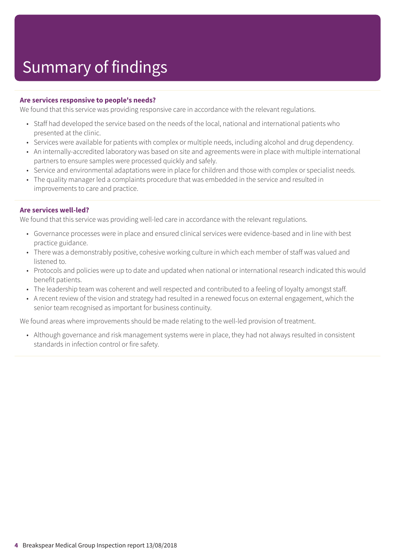#### **Are services responsive to people's needs?**

We found that this service was providing responsive care in accordance with the relevant regulations.

- Staff had developed the service based on the needs of the local, national and international patients who presented at the clinic.
- Services were available for patients with complex or multiple needs, including alcohol and drug dependency.
- An internally-accredited laboratory was based on site and agreements were in place with multiple international partners to ensure samples were processed quickly and safely.
- Service and environmental adaptations were in place for children and those with complex or specialist needs.
- The quality manager led a complaints procedure that was embedded in the service and resulted in improvements to care and practice.

#### **Are services well-led?**

We found that this service was providing well-led care in accordance with the relevant regulations.

- Governance processes were in place and ensured clinical services were evidence-based and in line with best practice guidance.
- There was a demonstrably positive, cohesive working culture in which each member of staff was valued and listened to.
- Protocols and policies were up to date and updated when national or international research indicated this would benefit patients.
- The leadership team was coherent and well respected and contributed to a feeling of loyalty amongst staff.
- A recent review of the vision and strategy had resulted in a renewed focus on external engagement, which the senior team recognised as important for business continuity.

We found areas where improvements should be made relating to the well-led provision of treatment.

• Although governance and risk management systems were in place, they had not always resulted in consistent standards in infection control or fire safety.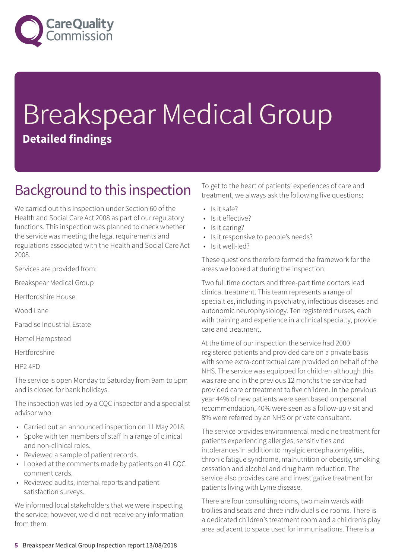

# Breakspear Medical Group **Detailed findings**

### Background to this inspection

We carried out this inspection under Section 60 of the Health and Social Care Act 2008 as part of our regulatory functions. This inspection was planned to check whether the service was meeting the legal requirements and regulations associated with the Health and Social Care Act 2008.

Services are provided from:

Breakspear Medical Group

Hertfordshire House

Wood Lane

Paradise Industrial Estate

Hemel Hempstead

Hertfordshire

HP2 4FD

The service is open Monday to Saturday from 9am to 5pm and is closed for bank holidays.

The inspection was led by a CQC inspector and a specialist advisor who:

- Carried out an announced inspection on 11 May 2018.
- Spoke with ten members of staff in a range of clinical and non-clinical roles.
- Reviewed a sample of patient records.
- Looked at the comments made by patients on 41 CQC comment cards.
- Reviewed audits, internal reports and patient satisfaction surveys.

We informed local stakeholders that we were inspecting the service; however, we did not receive any information from them.

To get to the heart of patients' experiences of care and treatment, we always ask the following five questions:

- $\cdot$  Is it safe?
- Is it effective?
- Is it caring?
- Is it responsive to people's needs?
- Is it well-led?

These questions therefore formed the framework for the areas we looked at during the inspection.

Two full time doctors and three-part time doctors lead clinical treatment. This team represents a range of specialties, including in psychiatry, infectious diseases and autonomic neurophysiology. Ten registered nurses, each with training and experience in a clinical specialty, provide care and treatment.

At the time of our inspection the service had 2000 registered patients and provided care on a private basis with some extra-contractual care provided on behalf of the NHS. The service was equipped for children although this was rare and in the previous 12 months the service had provided care or treatment to five children. In the previous year 44% of new patients were seen based on personal recommendation, 40% were seen as a follow-up visit and 8% were referred by an NHS or private consultant.

The service provides environmental medicine treatment for patients experiencing allergies, sensitivities and intolerances in addition to myalgic encephalomyelitis, chronic fatigue syndrome, malnutrition or obesity, smoking cessation and alcohol and drug harm reduction. The service also provides care and investigative treatment for patients living with Lyme disease.

There are four consulting rooms, two main wards with trollies and seats and three individual side rooms. There is a dedicated children's treatment room and a children's play area adjacent to space used for immunisations. There is a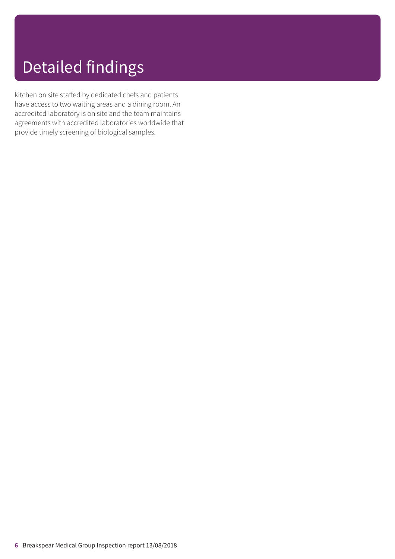### Detailed findings

kitchen on site staffed by dedicated chefs and patients have access to two waiting areas and a dining room. An accredited laboratory is on site and the team maintains agreements with accredited laboratories worldwide that provide timely screening of biological samples.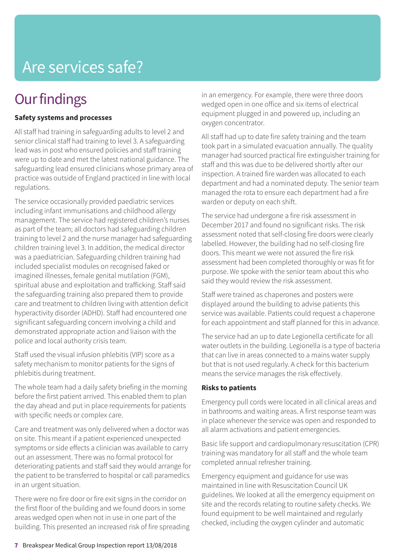### **Our findings**

### **Safety systems and processes**

All staff had training in safeguarding adults to level 2 and senior clinical staff had training to level 3. A safeguarding lead was in post who ensured policies and staff training were up to date and met the latest national guidance. The safeguarding lead ensured clinicians whose primary area of practice was outside of England practiced in line with local regulations.

The service occasionally provided paediatric services including infant immunisations and childhood allergy management. The service had registered children's nurses as part of the team; all doctors had safeguarding children training to level 2 and the nurse manager had safeguarding children training level 3. In addition, the medical director was a paediatrician. Safeguarding children training had included specialist modules on recognised faked or imagined illnesses, female genital mutilation (FGM), spiritual abuse and exploitation and trafficking. Staff said the safeguarding training also prepared them to provide care and treatment to children living with attention deficit hyperactivity disorder (ADHD). Staff had encountered one significant safeguarding concern involving a child and demonstrated appropriate action and liaison with the police and local authority crisis team.

Staff used the visual infusion phlebitis (VIP) score as a safety mechanism to monitor patients for the signs of phlebitis during treatment.

The whole team had a daily safety briefing in the morning before the first patient arrived. This enabled them to plan the day ahead and put in place requirements for patients with specific needs or complex care.

Care and treatment was only delivered when a doctor was on site. This meant if a patient experienced unexpected symptoms or side effects a clinician was available to carry out an assessment. There was no formal protocol for deteriorating patients and staff said they would arrange for the patient to be transferred to hospital or call paramedics in an urgent situation.

There were no fire door or fire exit signs in the corridor on the first floor of the building and we found doors in some areas wedged open when not in use in one part of the building. This presented an increased risk of fire spreading in an emergency. For example, there were three doors wedged open in one office and six items of electrical equipment plugged in and powered up, including an oxygen concentrator.

All staff had up to date fire safety training and the team took part in a simulated evacuation annually. The quality manager had sourced practical fire extinguisher training for staff and this was due to be delivered shortly after our inspection. A trained fire warden was allocated to each department and had a nominated deputy. The senior team managed the rota to ensure each department had a fire warden or deputy on each shift.

The service had undergone a fire risk assessment in December 2017 and found no significant risks. The risk assessment noted that self-closing fire doors were clearly labelled. However, the building had no self-closing fire doors. This meant we were not assured the fire risk assessment had been completed thoroughly or was fit for purpose. We spoke with the senior team about this who said they would review the risk assessment.

Staff were trained as chaperones and posters were displayed around the building to advise patients this service was available. Patients could request a chaperone for each appointment and staff planned for this in advance.

The service had an up to date Legionella certificate for all water outlets in the building. Legionella is a type of bacteria that can live in areas connected to a mains water supply but that is not used regularly. A check for this bacterium means the service manages the risk effectively.

#### **Risks to patients**

Emergency pull cords were located in all clinical areas and in bathrooms and waiting areas. A first response team was in place whenever the service was open and responded to all alarm activations and patient emergencies.

Basic life support and cardiopulmonary resuscitation (CPR) training was mandatory for all staff and the whole team completed annual refresher training.

Emergency equipment and guidance for use was maintained in line with Resuscitation Council UK guidelines. We looked at all the emergency equipment on site and the records relating to routine safety checks. We found equipment to be well maintained and regularly checked, including the oxygen cylinder and automatic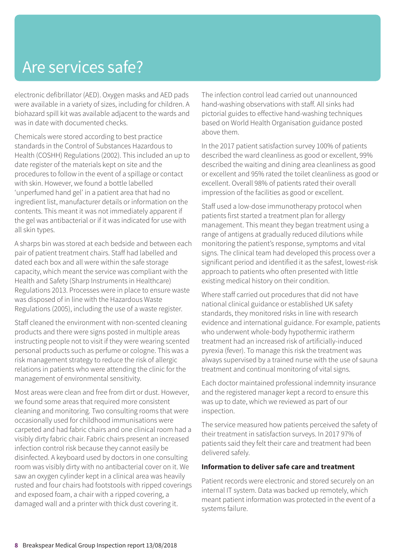electronic defibrillator (AED). Oxygen masks and AED pads were available in a variety of sizes, including for children. A biohazard spill kit was available adjacent to the wards and was in date with documented checks.

Chemicals were stored according to best practice standards in the Control of Substances Hazardous to Health (COSHH) Regulations (2002). This included an up to date register of the materials kept on site and the procedures to follow in the event of a spillage or contact with skin. However, we found a bottle labelled 'unperfumed hand gel' in a patient area that had no ingredient list, manufacturer details or information on the contents. This meant it was not immediately apparent if the gel was antibacterial or if it was indicated for use with all skin types.

A sharps bin was stored at each bedside and between each pair of patient treatment chairs. Staff had labelled and dated each box and all were within the safe storage capacity, which meant the service was compliant with the Health and Safety (Sharp Instruments in Healthcare) Regulations 2013. Processes were in place to ensure waste was disposed of in line with the Hazardous Waste Regulations (2005), including the use of a waste register.

Staff cleaned the environment with non-scented cleaning products and there were signs posted in multiple areas instructing people not to visit if they were wearing scented personal products such as perfume or cologne. This was a risk management strategy to reduce the risk of allergic relations in patients who were attending the clinic for the management of environmental sensitivity.

Most areas were clean and free from dirt or dust. However, we found some areas that required more consistent cleaning and monitoring. Two consulting rooms that were occasionally used for childhood immunisations were carpeted and had fabric chairs and one clinical room had a visibly dirty fabric chair. Fabric chairs present an increased infection control risk because they cannot easily be disinfected. A keyboard used by doctors in one consulting room was visibly dirty with no antibacterial cover on it. We saw an oxygen cylinder kept in a clinical area was heavily rusted and four chairs had footstools with ripped coverings and exposed foam, a chair with a ripped covering, a damaged wall and a printer with thick dust covering it.

The infection control lead carried out unannounced hand-washing observations with staff. All sinks had pictorial guides to effective hand-washing techniques based on World Health Organisation guidance posted above them.

In the 2017 patient satisfaction survey 100% of patients described the ward cleanliness as good or excellent, 99% described the waiting and dining area cleanliness as good or excellent and 95% rated the toilet cleanliness as good or excellent. Overall 98% of patients rated their overall impression of the facilities as good or excellent.

Staff used a low-dose immunotherapy protocol when patients first started a treatment plan for allergy management. This meant they began treatment using a range of antigens at gradually reduced dilutions while monitoring the patient's response, symptoms and vital signs. The clinical team had developed this process over a significant period and identified it as the safest, lowest-risk approach to patients who often presented with little existing medical history on their condition.

Where staff carried out procedures that did not have national clinical guidance or established UK safety standards, they monitored risks in line with research evidence and international guidance. For example, patients who underwent whole-body hypothermic iratherm treatment had an increased risk of artificially-induced pyrexia (fever). To manage this risk the treatment was always supervised by a trained nurse with the use of sauna treatment and continual monitoring of vital signs.

Each doctor maintained professional indemnity insurance and the registered manager kept a record to ensure this was up to date, which we reviewed as part of our inspection.

The service measured how patients perceived the safety of their treatment in satisfaction surveys. In 2017 97% of patients said they felt their care and treatment had been delivered safely.

#### **Information to deliver safe care and treatment**

Patient records were electronic and stored securely on an internal IT system. Data was backed up remotely, which meant patient information was protected in the event of a systems failure.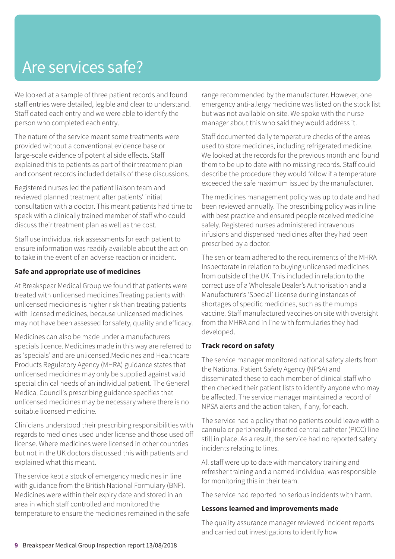We looked at a sample of three patient records and found staff entries were detailed, legible and clear to understand. Staff dated each entry and we were able to identify the person who completed each entry.

The nature of the service meant some treatments were provided without a conventional evidence base or large-scale evidence of potential side effects. Staff explained this to patients as part of their treatment plan and consent records included details of these discussions.

Registered nurses led the patient liaison team and reviewed planned treatment after patients' initial consultation with a doctor. This meant patients had time to speak with a clinically trained member of staff who could discuss their treatment plan as well as the cost.

Staff use individual risk assessments for each patient to ensure information was readily available about the action to take in the event of an adverse reaction or incident.

### **Safe and appropriate use of medicines**

At Breakspear Medical Group we found that patients were treated with unlicensed medicines.Treating patients with unlicensed medicines is higher risk than treating patients with licensed medicines, because unlicensed medicines may not have been assessed for safety, quality and efficacy.

Medicines can also be made under a manufacturers specials licence. Medicines made in this way are referred to as 'specials' and are unlicensed.Medicines and Healthcare Products Regulatory Agency (MHRA) guidance states that unlicensed medicines may only be supplied against valid special clinical needs of an individual patient. The General Medical Council's prescribing guidance specifies that unlicensed medicines may be necessary where there is no suitable licensed medicine.

Clinicians understood their prescribing responsibilities with regards to medicines used under license and those used off license. Where medicines were licensed in other countries but not in the UK doctors discussed this with patients and explained what this meant.

The service kept a stock of emergency medicines in line with guidance from the British National Formulary (BNF). Medicines were within their expiry date and stored in an area in which staff controlled and monitored the temperature to ensure the medicines remained in the safe range recommended by the manufacturer. However, one emergency anti-allergy medicine was listed on the stock list but was not available on site. We spoke with the nurse manager about this who said they would address it.

Staff documented daily temperature checks of the areas used to store medicines, including refrigerated medicine. We looked at the records for the previous month and found them to be up to date with no missing records. Staff could describe the procedure they would follow if a temperature exceeded the safe maximum issued by the manufacturer.

The medicines management policy was up to date and had been reviewed annually. The prescribing policy was in line with best practice and ensured people received medicine safely. Registered nurses administered intravenous infusions and dispensed medicines after they had been prescribed by a doctor.

The senior team adhered to the requirements of the MHRA Inspectorate in relation to buying unlicensed medicines from outside of the UK. This included in relation to the correct use of a Wholesale Dealer's Authorisation and a Manufacturer's 'Special' License during instances of shortages of specific medicines, such as the mumps vaccine. Staff manufactured vaccines on site with oversight from the MHRA and in line with formularies they had developed.

### **Track record on safety**

The service manager monitored national safety alerts from the National Patient Safety Agency (NPSA) and disseminated these to each member of clinical staff who then checked their patient lists to identify anyone who may be affected. The service manager maintained a record of NPSA alerts and the action taken, if any, for each.

The service had a policy that no patients could leave with a cannula or peripherally inserted central catheter (PICC) line still in place. As a result, the service had no reported safety incidents relating to lines.

All staff were up to date with mandatory training and refresher training and a named individual was responsible for monitoring this in their team.

The service had reported no serious incidents with harm.

### **Lessons learned and improvements made**

The quality assurance manager reviewed incident reports and carried out investigations to identify how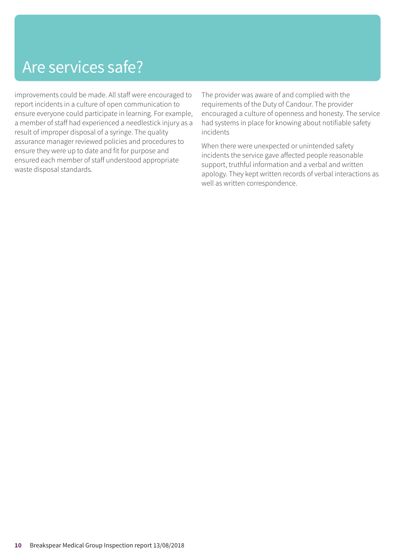improvements could be made. All staff were encouraged to report incidents in a culture of open communication to ensure everyone could participate in learning. For example, a member of staff had experienced a needlestick injury as a result of improper disposal of a syringe. The quality assurance manager reviewed policies and procedures to ensure they were up to date and fit for purpose and ensured each member of staff understood appropriate waste disposal standards.

The provider was aware of and complied with the requirements of the Duty of Candour. The provider encouraged a culture of openness and honesty. The service had systems in place for knowing about notifiable safety incidents

When there were unexpected or unintended safety incidents the service gave affected people reasonable support, truthful information and a verbal and written apology. They kept written records of verbal interactions as well as written correspondence.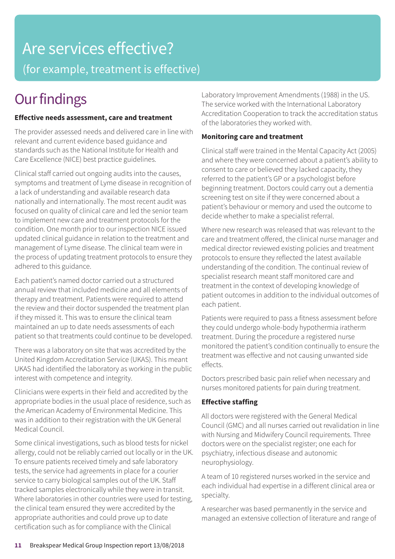### Are services effective? (for example, treatment is effective)

### **Our findings**

### **Effective needs assessment, care and treatment**

The provider assessed needs and delivered care in line with relevant and current evidence based guidance and standards such as the National Institute for Health and Care Excellence (NICE) best practice guidelines.

Clinical staff carried out ongoing audits into the causes, symptoms and treatment of Lyme disease in recognition of a lack of understanding and available research data nationally and internationally. The most recent audit was focused on quality of clinical care and led the senior team to implement new care and treatment protocols for the condition. One month prior to our inspection NICE issued updated clinical guidance in relation to the treatment and management of Lyme disease. The clinical team were in the process of updating treatment protocols to ensure they adhered to this guidance.

Each patient's named doctor carried out a structured annual review that included medicine and all elements of therapy and treatment. Patients were required to attend the review and their doctor suspended the treatment plan if they missed it. This was to ensure the clinical team maintained an up to date needs assessments of each patient so that treatments could continue to be developed.

There was a laboratory on site that was accredited by the United Kingdom Accreditation Service (UKAS). This meant UKAS had identified the laboratory as working in the public interest with competence and integrity.

Clinicians were experts in their field and accredited by the appropriate bodies in the usual place of residence, such as the American Academy of Environmental Medicine. This was in addition to their registration with the UK General Medical Council.

Some clinical investigations, such as blood tests for nickel allergy, could not be reliably carried out locally or in the UK. To ensure patients received timely and safe laboratory tests, the service had agreements in place for a courier service to carry biological samples out of the UK. Staff tracked samples electronically while they were in transit. Where laboratories in other countries were used for testing, the clinical team ensured they were accredited by the appropriate authorities and could prove up to date certification such as for compliance with the Clinical

Laboratory Improvement Amendments (1988) in the US. The service worked with the International Laboratory Accreditation Cooperation to track the accreditation status of the laboratories they worked with.

### **Monitoring care and treatment**

Clinical staff were trained in the Mental Capacity Act (2005) and where they were concerned about a patient's ability to consent to care or believed they lacked capacity, they referred to the patient's GP or a psychologist before beginning treatment. Doctors could carry out a dementia screening test on site if they were concerned about a patient's behaviour or memory and used the outcome to decide whether to make a specialist referral.

Where new research was released that was relevant to the care and treatment offered, the clinical nurse manager and medical director reviewed existing policies and treatment protocols to ensure they reflected the latest available understanding of the condition. The continual review of specialist research meant staff monitored care and treatment in the context of developing knowledge of patient outcomes in addition to the individual outcomes of each patient.

Patients were required to pass a fitness assessment before they could undergo whole-body hypothermia iratherm treatment. During the procedure a registered nurse monitored the patient's condition continually to ensure the treatment was effective and not causing unwanted side effects.

Doctors prescribed basic pain relief when necessary and nurses monitored patients for pain during treatment.

### **Effective staffing**

All doctors were registered with the General Medical Council (GMC) and all nurses carried out revalidation in line with Nursing and Midwifery Council requirements. Three doctors were on the specialist register; one each for psychiatry, infectious disease and autonomic neurophysiology.

A team of 10 registered nurses worked in the service and each individual had expertise in a different clinical area or specialty.

A researcher was based permanently in the service and managed an extensive collection of literature and range of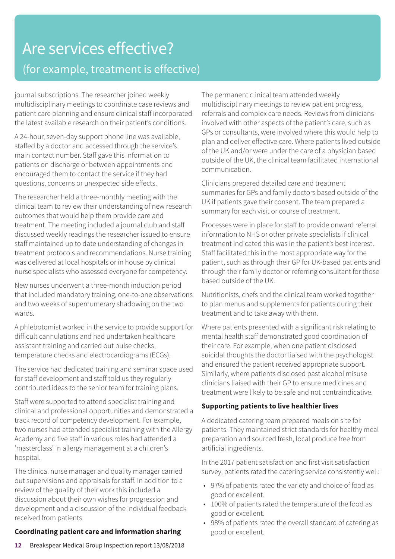### Are services effective? (for example, treatment is effective)

journal subscriptions. The researcher joined weekly multidisciplinary meetings to coordinate case reviews and patient care planning and ensure clinical staff incorporated the latest available research on their patient's conditions.

A 24-hour, seven-day support phone line was available, staffed by a doctor and accessed through the service's main contact number. Staff gave this information to patients on discharge or between appointments and encouraged them to contact the service if they had questions, concerns or unexpected side effects.

The researcher held a three-monthly meeting with the clinical team to review their understanding of new research outcomes that would help them provide care and treatment. The meeting included a journal club and staff discussed weekly readings the researcher issued to ensure staff maintained up to date understanding of changes in treatment protocols and recommendations. Nurse training was delivered at local hospitals or in house by clinical nurse specialists who assessed everyone for competency.

New nurses underwent a three-month induction period that included mandatory training, one-to-one observations and two weeks of supernumerary shadowing on the two wards.

A phlebotomist worked in the service to provide support for difficult cannulations and had undertaken healthcare assistant training and carried out pulse checks, temperature checks and electrocardiograms (ECGs).

The service had dedicated training and seminar space used for staff development and staff told us they regularly contributed ideas to the senior team for training plans.

Staff were supported to attend specialist training and clinical and professional opportunities and demonstrated a track record of competency development. For example, two nurses had attended specialist training with the Allergy Academy and five staff in various roles had attended a 'masterclass' in allergy management at a children's hospital.

The clinical nurse manager and quality manager carried out supervisions and appraisals for staff. In addition to a review of the quality of their work this included a discussion about their own wishes for progression and development and a discussion of the individual feedback received from patients.

### **Coordinating patient care and information sharing**

**12** Breakspear Medical Group Inspection report 13/08/2018

The permanent clinical team attended weekly multidisciplinary meetings to review patient progress, referrals and complex care needs. Reviews from clinicians involved with other aspects of the patient's care, such as GPs or consultants, were involved where this would help to plan and deliver effective care. Where patients lived outside of the UK and/or were under the care of a physician based outside of the UK, the clinical team facilitated international communication.

Clinicians prepared detailed care and treatment summaries for GPs and family doctors based outside of the UK if patients gave their consent. The team prepared a summary for each visit or course of treatment.

Processes were in place for staff to provide onward referral information to NHS or other private specialists if clinical treatment indicated this was in the patient's best interest. Staff facilitated this in the most appropriate way for the patient, such as through their GP for UK-based patients and through their family doctor or referring consultant for those based outside of the UK.

Nutritionists, chefs and the clinical team worked together to plan menus and supplements for patients during their treatment and to take away with them.

Where patients presented with a significant risk relating to mental health staff demonstrated good coordination of their care. For example, when one patient disclosed suicidal thoughts the doctor liaised with the psychologist and ensured the patient received appropriate support. Similarly, where patients disclosed past alcohol misuse clinicians liaised with their GP to ensure medicines and treatment were likely to be safe and not contraindicative.

### **Supporting patients to live healthier lives**

A dedicated catering team prepared meals on site for patients. They maintained strict standards for healthy meal preparation and sourced fresh, local produce free from artificial ingredients.

In the 2017 patient satisfaction and first visit satisfaction survey, patients rated the catering service consistently well:

- 97% of patients rated the variety and choice of food as good or excellent.
- 100% of patients rated the temperature of the food as good or excellent.
- 98% of patients rated the overall standard of catering as good or excellent.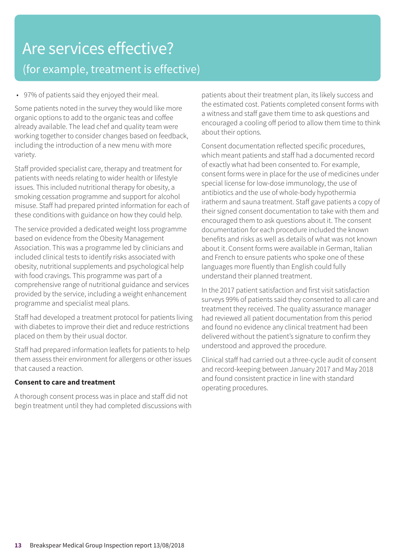### Are services effective? (for example, treatment is effective)

• 97% of patients said they enjoyed their meal.

Some patients noted in the survey they would like more organic options to add to the organic teas and coffee already available. The lead chef and quality team were working together to consider changes based on feedback, including the introduction of a new menu with more variety.

Staff provided specialist care, therapy and treatment for patients with needs relating to wider health or lifestyle issues. This included nutritional therapy for obesity, a smoking cessation programme and support for alcohol misuse. Staff had prepared printed information for each of these conditions with guidance on how they could help.

The service provided a dedicated weight loss programme based on evidence from the Obesity Management Association. This was a programme led by clinicians and included clinical tests to identify risks associated with obesity, nutritional supplements and psychological help with food cravings. This programme was part of a comprehensive range of nutritional guidance and services provided by the service, including a weight enhancement programme and specialist meal plans.

Staff had developed a treatment protocol for patients living with diabetes to improve their diet and reduce restrictions placed on them by their usual doctor.

Staff had prepared information leaflets for patients to help them assess their environment for allergens or other issues that caused a reaction.

### **Consent to care and treatment**

A thorough consent process was in place and staff did not begin treatment until they had completed discussions with patients about their treatment plan, its likely success and the estimated cost. Patients completed consent forms with a witness and staff gave them time to ask questions and encouraged a cooling off period to allow them time to think about their options.

Consent documentation reflected specific procedures, which meant patients and staff had a documented record of exactly what had been consented to. For example, consent forms were in place for the use of medicines under special license for low-dose immunology, the use of antibiotics and the use of whole-body hypothermia iratherm and sauna treatment. Staff gave patients a copy of their signed consent documentation to take with them and encouraged them to ask questions about it. The consent documentation for each procedure included the known benefits and risks as well as details of what was not known about it. Consent forms were available in German, Italian and French to ensure patients who spoke one of these languages more fluently than English could fully understand their planned treatment.

In the 2017 patient satisfaction and first visit satisfaction surveys 99% of patients said they consented to all care and treatment they received. The quality assurance manager had reviewed all patient documentation from this period and found no evidence any clinical treatment had been delivered without the patient's signature to confirm they understood and approved the procedure.

Clinical staff had carried out a three-cycle audit of consent and record-keeping between January 2017 and May 2018 and found consistent practice in line with standard operating procedures.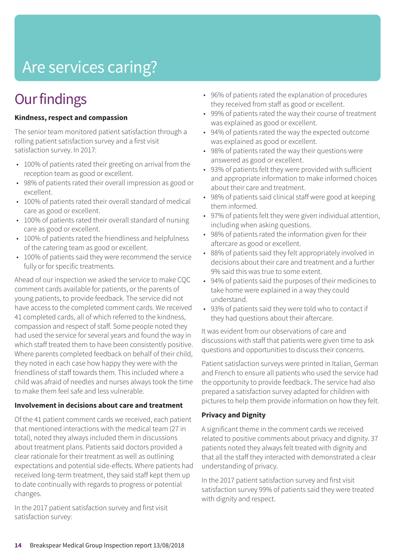## Are services caring?

### **Our findings**

### **Kindness, respect and compassion**

The senior team monitored patient satisfaction through a rolling patient satisfaction survey and a first visit satisfaction survey. In 2017:

- 100% of patients rated their greeting on arrival from the reception team as good or excellent.
- 98% of patients rated their overall impression as good or excellent.
- 100% of patients rated their overall standard of medical care as good or excellent.
- 100% of patients rated their overall standard of nursing care as good or excellent.
- 100% of patients rated the friendliness and helpfulness of the catering team as good or excellent.
- 100% of patients said they were recommend the service fully or for specific treatments.

Ahead of our inspection we asked the service to make CQC comment cards available for patients, or the parents of young patients, to provide feedback. The service did not have access to the completed comment cards. We received 41 completed cards, all of which referred to the kindness, compassion and respect of staff. Some people noted they had used the service for several years and found the way in which staff treated them to have been consistently positive. Where parents completed feedback on behalf of their child, they noted in each case how happy they were with the friendliness of staff towards them. This included where a child was afraid of needles and nurses always took the time to make them feel safe and less vulnerable.

#### **Involvement in decisions about care and treatment**

Of the 41 patient comment cards we received, each patient that mentioned interactions with the medical team (27 in total), noted they always included them in discussions about treatment plans. Patients said doctors provided a clear rationale for their treatment as well as outlining expectations and potential side-effects. Where patients had received long-term treatment, they said staff kept them up to date continually with regards to progress or potential changes.

In the 2017 patient satisfaction survey and first visit satisfaction survey:

- 96% of patients rated the explanation of procedures they received from staff as good or excellent.
- 99% of patients rated the way their course of treatment was explained as good or excellent.
- 94% of patients rated the way the expected outcome was explained as good or excellent.
- 98% of patients rated the way their questions were answered as good or excellent.
- 93% of patients felt they were provided with sufficient and appropriate information to make informed choices about their care and treatment.
- 98% of patients said clinical staff were good at keeping them informed.
- 97% of patients felt they were given individual attention, including when asking questions.
- 98% of patients rated the information given for their aftercare as good or excellent.
- 88% of patients said they felt appropriately involved in decisions about their care and treatment and a further 9% said this was true to some extent.
- 94% of patients said the purposes of their medicines to take home were explained in a way they could understand.
- 93% of patients said they were told who to contact if they had questions about their aftercare.

It was evident from our observations of care and discussions with staff that patients were given time to ask questions and opportunities to discuss their concerns.

Patient satisfaction surveys were printed in Italian, German and French to ensure all patients who used the service had the opportunity to provide feedback. The service had also prepared a satisfaction survey adapted for children with pictures to help them provide information on how they felt.

### **Privacy and Dignity**

A significant theme in the comment cards we received related to positive comments about privacy and dignity. 37 patients noted they always felt treated with dignity and that all the staff they interacted with demonstrated a clear understanding of privacy.

In the 2017 patient satisfaction survey and first visit satisfaction survey 99% of patients said they were treated with dignity and respect.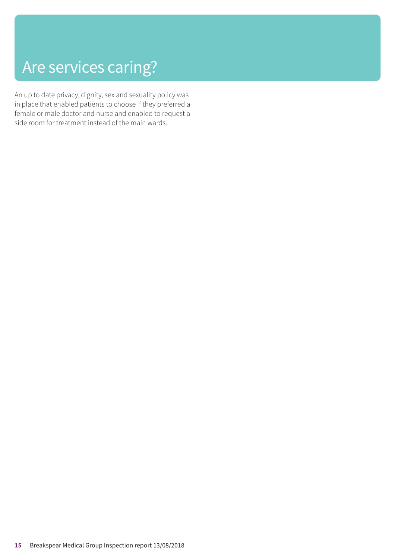### Are services caring?

An up to date privacy, dignity, sex and sexuality policy was in place that enabled patients to choose if they preferred a female or male doctor and nurse and enabled to request a side room for treatment instead of the main wards.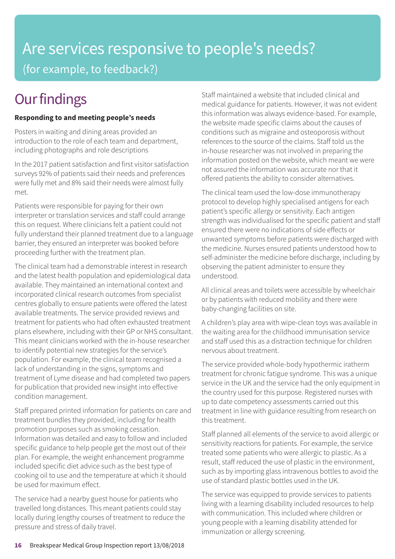### Are services responsive to people's needs? (for example, to feedback?)

### **Our findings**

### **Responding to and meeting people's needs**

Posters in waiting and dining areas provided an introduction to the role of each team and department, including photographs and role descriptions

In the 2017 patient satisfaction and first visitor satisfaction surveys 92% of patients said their needs and preferences were fully met and 8% said their needs were almost fully met.

Patients were responsible for paying for their own interpreter or translation services and staff could arrange this on request. Where clinicians felt a patient could not fully understand their planned treatment due to a language barrier, they ensured an interpreter was booked before proceeding further with the treatment plan.

The clinical team had a demonstrable interest in research and the latest health population and epidemiological data available. They maintained an international context and incorporated clinical research outcomes from specialist centres globally to ensure patients were offered the latest available treatments. The service provided reviews and treatment for patients who had often exhausted treatment plans elsewhere, including with their GP or NHS consultant. This meant clinicians worked with the in-house researcher to identify potential new strategies for the service's population. For example, the clinical team recognised a lack of understanding in the signs, symptoms and treatment of Lyme disease and had completed two papers for publication that provided new insight into effective condition management.

Staff prepared printed information for patients on care and treatment bundles they provided, including for health promotion purposes such as smoking cessation. Information was detailed and easy to follow and included specific guidance to help people get the most out of their plan. For example, the weight enhancement programme included specific diet advice such as the best type of cooking oil to use and the temperature at which it should be used for maximum effect.

The service had a nearby guest house for patients who travelled long distances. This meant patients could stay locally during lengthy courses of treatment to reduce the pressure and stress of daily travel.

Staff maintained a website that included clinical and medical guidance for patients. However, it was not evident this information was always evidence-based. For example, the website made specific claims about the causes of conditions such as migraine and osteoporosis without references to the source of the claims. Staff told us the in-house researcher was not involved in preparing the information posted on the website, which meant we were not assured the information was accurate nor that it offered patients the ability to consider alternatives.

The clinical team used the low-dose immunotherapy protocol to develop highly specialised antigens for each patient's specific allergy or sensitivity. Each antigen strength was individualised for the specific patient and staff ensured there were no indications of side effects or unwanted symptoms before patients were discharged with the medicine. Nurses ensured patients understood how to self-administer the medicine before discharge, including by observing the patient administer to ensure they understood.

All clinical areas and toilets were accessible by wheelchair or by patients with reduced mobility and there were baby-changing facilities on site.

A children's play area with wipe-clean toys was available in the waiting area for the childhood immunisation service and staff used this as a distraction technique for children nervous about treatment.

The service provided whole-body hypothermic iratherm treatment for chronic fatigue syndrome. This was a unique service in the UK and the service had the only equipment in the country used for this purpose. Registered nurses with up to date competency assessments carried out this treatment in line with guidance resulting from research on this treatment.

Staff planned all elements of the service to avoid allergic or sensitivity reactions for patients. For example, the service treated some patients who were allergic to plastic. As a result, staff reduced the use of plastic in the environment, such as by importing glass intravenous bottles to avoid the use of standard plastic bottles used in the UK.

The service was equipped to provide services to patients living with a learning disability included resources to help with communication. This included where children or young people with a learning disability attended for immunization or allergy screening.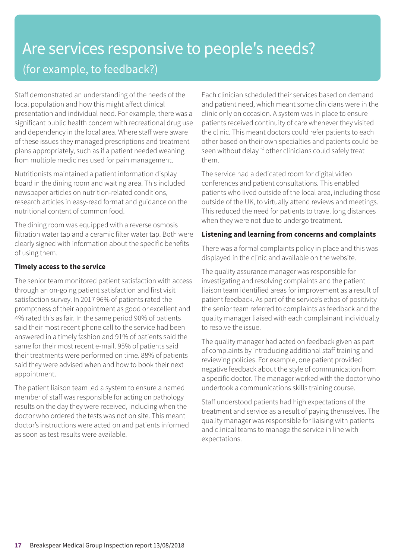### Are services responsive to people's needs? (for example, to feedback?)

Staff demonstrated an understanding of the needs of the local population and how this might affect clinical presentation and individual need. For example, there was a significant public health concern with recreational drug use and dependency in the local area. Where staff were aware of these issues they managed prescriptions and treatment plans appropriately, such as if a patient needed weaning from multiple medicines used for pain management.

Nutritionists maintained a patient information display board in the dining room and waiting area. This included newspaper articles on nutrition-related conditions, research articles in easy-read format and guidance on the nutritional content of common food.

The dining room was equipped with a reverse osmosis filtration water tap and a ceramic filter water tap. Both were clearly signed with information about the specific benefits of using them.

### **Timely access to the service**

The senior team monitored patient satisfaction with access through an on-going patient satisfaction and first visit satisfaction survey. In 2017 96% of patients rated the promptness of their appointment as good or excellent and 4% rated this as fair. In the same period 90% of patients said their most recent phone call to the service had been answered in a timely fashion and 91% of patients said the same for their most recent e-mail. 95% of patients said their treatments were performed on time. 88% of patients said they were advised when and how to book their next appointment.

The patient liaison team led a system to ensure a named member of staff was responsible for acting on pathology results on the day they were received, including when the doctor who ordered the tests was not on site. This meant doctor's instructions were acted on and patients informed as soon as test results were available.

Each clinician scheduled their services based on demand and patient need, which meant some clinicians were in the clinic only on occasion. A system was in place to ensure patients received continuity of care whenever they visited the clinic. This meant doctors could refer patients to each other based on their own specialties and patients could be seen without delay if other clinicians could safely treat them.

The service had a dedicated room for digital video conferences and patient consultations. This enabled patients who lived outside of the local area, including those outside of the UK, to virtually attend reviews and meetings. This reduced the need for patients to travel long distances when they were not due to undergo treatment.

### **Listening and learning from concerns and complaints**

There was a formal complaints policy in place and this was displayed in the clinic and available on the website.

The quality assurance manager was responsible for investigating and resolving complaints and the patient liaison team identified areas for improvement as a result of patient feedback. As part of the service's ethos of positivity the senior team referred to complaints as feedback and the quality manager liaised with each complainant individually to resolve the issue.

The quality manager had acted on feedback given as part of complaints by introducing additional staff training and reviewing policies. For example, one patient provided negative feedback about the style of communication from a specific doctor. The manager worked with the doctor who undertook a communications skills training course.

Staff understood patients had high expectations of the treatment and service as a result of paying themselves. The quality manager was responsible for liaising with patients and clinical teams to manage the service in line with expectations.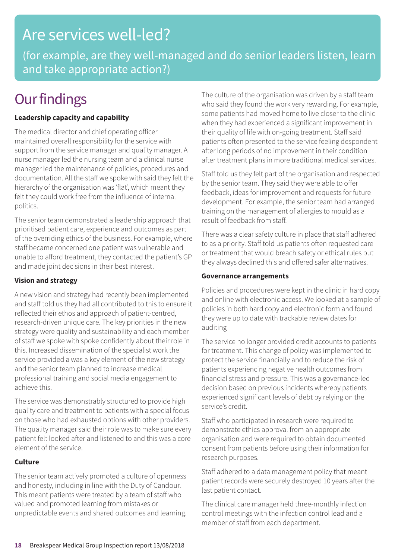### Are services well-led?

(for example, are they well-managed and do senior leaders listen, learn and take appropriate action?)

### **Our findings**

### **Leadership capacity and capability**

The medical director and chief operating officer maintained overall responsibility for the service with support from the service manager and quality manager. A nurse manager led the nursing team and a clinical nurse manager led the maintenance of policies, procedures and documentation. All the staff we spoke with said they felt the hierarchy of the organisation was 'flat', which meant they felt they could work free from the influence of internal politics.

The senior team demonstrated a leadership approach that prioritised patient care, experience and outcomes as part of the overriding ethics of the business. For example, where staff became concerned one patient was vulnerable and unable to afford treatment, they contacted the patient's GP and made joint decisions in their best interest.

#### **Vision and strategy**

A new vision and strategy had recently been implemented and staff told us they had all contributed to this to ensure it reflected their ethos and approach of patient-centred, research-driven unique care. The key priorities in the new strategy were quality and sustainability and each member of staff we spoke with spoke confidently about their role in this. Increased dissemination of the specialist work the service provided a was a key element of the new strategy and the senior team planned to increase medical professional training and social media engagement to achieve this.

The service was demonstrably structured to provide high quality care and treatment to patients with a special focus on those who had exhausted options with other providers. The quality manager said their role was to make sure every patient felt looked after and listened to and this was a core element of the service.

#### **Culture**

The senior team actively promoted a culture of openness and honesty, including in line with the Duty of Candour. This meant patients were treated by a team of staff who valued and promoted learning from mistakes or unpredictable events and shared outcomes and learning. The culture of the organisation was driven by a staff team who said they found the work very rewarding. For example, some patients had moved home to live closer to the clinic when they had experienced a significant improvement in their quality of life with on-going treatment. Staff said patients often presented to the service feeling despondent after long periods of no improvement in their condition after treatment plans in more traditional medical services.

Staff told us they felt part of the organisation and respected by the senior team. They said they were able to offer feedback, ideas for improvement and requests for future development. For example, the senior team had arranged training on the management of allergies to mould as a result of feedback from staff.

There was a clear safety culture in place that staff adhered to as a priority. Staff told us patients often requested care or treatment that would breach safety or ethical rules but they always declined this and offered safer alternatives.

#### **Governance arrangements**

Policies and procedures were kept in the clinic in hard copy and online with electronic access. We looked at a sample of policies in both hard copy and electronic form and found they were up to date with trackable review dates for auditing

The service no longer provided credit accounts to patients for treatment. This change of policy was implemented to protect the service financially and to reduce the risk of patients experiencing negative health outcomes from financial stress and pressure. This was a governance-led decision based on previous incidents whereby patients experienced significant levels of debt by relying on the service's credit.

Staff who participated in research were required to demonstrate ethics approval from an appropriate organisation and were required to obtain documented consent from patients before using their information for research purposes.

Staff adhered to a data management policy that meant patient records were securely destroyed 10 years after the last patient contact.

The clinical care manager held three-monthly infection control meetings with the infection control lead and a member of staff from each department.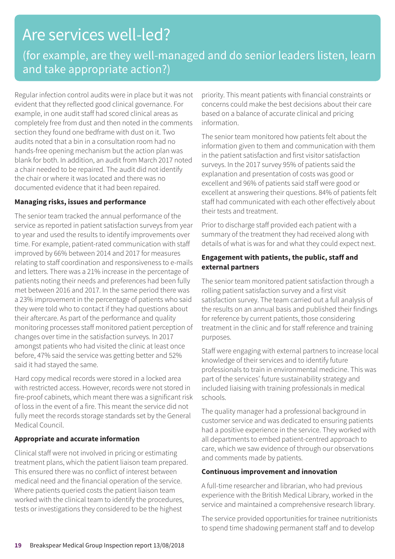### Are services well-led?

### (for example, are they well-managed and do senior leaders listen, learn and take appropriate action?)

Regular infection control audits were in place but it was not evident that they reflected good clinical governance. For example, in one audit staff had scored clinical areas as completely free from dust and then noted in the comments section they found one bedframe with dust on it. Two audits noted that a bin in a consultation room had no hands-free opening mechanism but the action plan was blank for both. In addition, an audit from March 2017 noted a chair needed to be repaired. The audit did not identify the chair or where it was located and there was no documented evidence that it had been repaired.

### **Managing risks, issues and performance**

The senior team tracked the annual performance of the service as reported in patient satisfaction surveys from year to year and used the results to identify improvements over time. For example, patient-rated communication with staff improved by 66% between 2014 and 2017 for measures relating to staff coordination and responsiveness to e-mails and letters. There was a 21% increase in the percentage of patients noting their needs and preferences had been fully met between 2016 and 2017. In the same period there was a 23% improvement in the percentage of patients who said they were told who to contact if they had questions about their aftercare. As part of the performance and quality monitoring processes staff monitored patient perception of changes over time in the satisfaction surveys. In 2017 amongst patients who had visited the clinic at least once before, 47% said the service was getting better and 52% said it had stayed the same.

Hard copy medical records were stored in a locked area with restricted access. However, records were not stored in fire-proof cabinets, which meant there was a significant risk of loss in the event of a fire. This meant the service did not fully meet the records storage standards set by the General Medical Council.

### **Appropriate and accurate information**

Clinical staff were not involved in pricing or estimating treatment plans, which the patient liaison team prepared. This ensured there was no conflict of interest between medical need and the financial operation of the service. Where patients queried costs the patient liaison team worked with the clinical team to identify the procedures, tests or investigations they considered to be the highest

priority. This meant patients with financial constraints or concerns could make the best decisions about their care based on a balance of accurate clinical and pricing information.

The senior team monitored how patients felt about the information given to them and communication with them in the patient satisfaction and first visitor satisfaction surveys. In the 2017 survey 95% of patients said the explanation and presentation of costs was good or excellent and 96% of patients said staff were good or excellent at answering their questions. 84% of patients felt staff had communicated with each other effectively about their tests and treatment.

Prior to discharge staff provided each patient with a summary of the treatment they had received along with details of what is was for and what they could expect next.

### **Engagement with patients, the public, staff and external partners**

The senior team monitored patient satisfaction through a rolling patient satisfaction survey and a first visit satisfaction survey. The team carried out a full analysis of the results on an annual basis and published their findings for reference by current patients, those considering treatment in the clinic and for staff reference and training purposes.

Staff were engaging with external partners to increase local knowledge of their services and to identify future professionals to train in environmental medicine. This was part of the services' future sustainability strategy and included liaising with training professionals in medical schools.

The quality manager had a professional background in customer service and was dedicated to ensuring patients had a positive experience in the service. They worked with all departments to embed patient-centred approach to care, which we saw evidence of through our observations and comments made by patients.

### **Continuous improvement and innovation**

A full-time researcher and librarian, who had previous experience with the British Medical Library, worked in the service and maintained a comprehensive research library.

The service provided opportunities for trainee nutritionists to spend time shadowing permanent staff and to develop